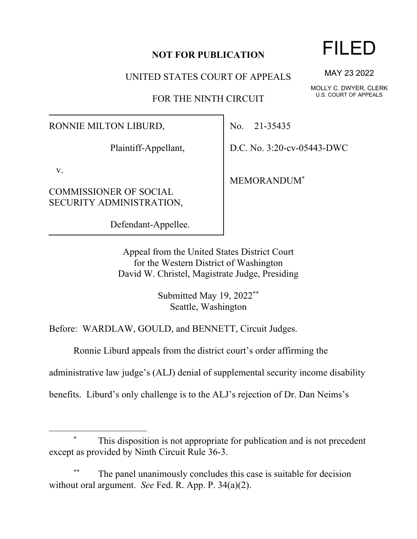## **NOT FOR PUBLICATION**

UNITED STATES COURT OF APPEALS

FOR THE NINTH CIRCUIT

RONNIE MILTON LIBURD,

Plaintiff-Appellant,

v.

COMMISSIONER OF SOCIAL SECURITY ADMINISTRATION,

Defendant-Appellee.

No. 21-35435

D.C. No. 3:20-cv-05443-DWC

MEMORANDUM\*

Appeal from the United States District Court for the Western District of Washington David W. Christel, Magistrate Judge, Presiding

> Submitted May 19, 2022\*\* Seattle, Washington

Before: WARDLAW, GOULD, and BENNETT, Circuit Judges.

Ronnie Liburd appeals from the district court's order affirming the

administrative law judge's (ALJ) denial of supplemental security income disability

benefits. Liburd's only challenge is to the ALJ's rejection of Dr. Dan Neims's

## This disposition is not appropriate for publication and is not precedent except as provided by Ninth Circuit Rule 36-3.

The panel unanimously concludes this case is suitable for decision without oral argument. *See* Fed. R. App. P. 34(a)(2).

## FILED

MAY 23 2022

MOLLY C. DWYER, CLERK U.S. COURT OF APPEALS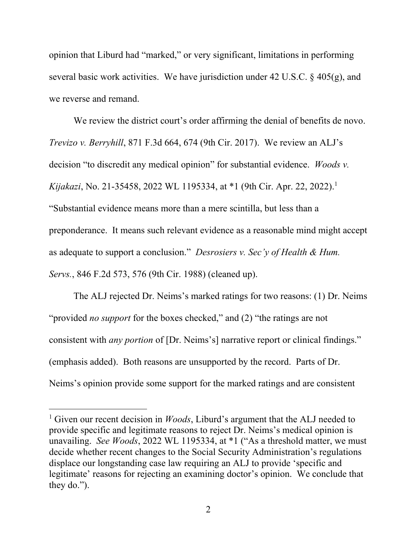opinion that Liburd had "marked," or very significant, limitations in performing several basic work activities. We have jurisdiction under 42 U.S.C. § 405(g), and we reverse and remand.

We review the district court's order affirming the denial of benefits de novo. *Trevizo v. Berryhill*, 871 F.3d 664, 674 (9th Cir. 2017). We review an ALJ's decision "to discredit any medical opinion" for substantial evidence. *Woods v. Kijakazi*, No. 21-35458, 2022 WL 1195334, at \*1 (9th Cir. Apr. 22, 2022). 1 "Substantial evidence means more than a mere scintilla, but less than a preponderance. It means such relevant evidence as a reasonable mind might accept as adequate to support a conclusion." *Desrosiers v. Sec'y of Health & Hum. Servs.*, 846 F.2d 573, 576 (9th Cir. 1988) (cleaned up).

The ALJ rejected Dr. Neims's marked ratings for two reasons: (1) Dr. Neims "provided *no support* for the boxes checked," and (2) "the ratings are not consistent with *any portion* of [Dr. Neims's] narrative report or clinical findings." (emphasis added). Both reasons are unsupported by the record. Parts of Dr. Neims's opinion provide some support for the marked ratings and are consistent

<sup>&</sup>lt;sup>1</sup> Given our recent decision in *Woods*, Liburd's argument that the ALJ needed to provide specific and legitimate reasons to reject Dr. Neims's medical opinion is unavailing. *See Woods*, 2022 WL 1195334, at \*1 ("As a threshold matter, we must decide whether recent changes to the Social Security Administration's regulations displace our longstanding case law requiring an ALJ to provide 'specific and legitimate' reasons for rejecting an examining doctor's opinion. We conclude that they do.").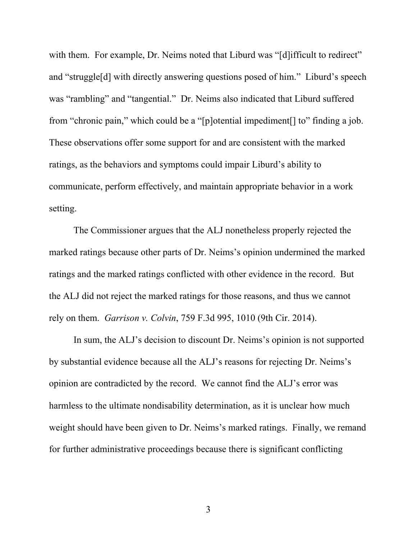with them. For example, Dr. Neims noted that Liburd was "[d] ifficult to redirect" and "struggle[d] with directly answering questions posed of him." Liburd's speech was "rambling" and "tangential." Dr. Neims also indicated that Liburd suffered from "chronic pain," which could be a "[p]otential impediment[] to" finding a job. These observations offer some support for and are consistent with the marked ratings, as the behaviors and symptoms could impair Liburd's ability to communicate, perform effectively, and maintain appropriate behavior in a work setting.

The Commissioner argues that the ALJ nonetheless properly rejected the marked ratings because other parts of Dr. Neims's opinion undermined the marked ratings and the marked ratings conflicted with other evidence in the record. But the ALJ did not reject the marked ratings for those reasons, and thus we cannot rely on them. *Garrison v. Colvin*, 759 F.3d 995, 1010 (9th Cir. 2014).

In sum, the ALJ's decision to discount Dr. Neims's opinion is not supported by substantial evidence because all the ALJ's reasons for rejecting Dr. Neims's opinion are contradicted by the record. We cannot find the ALJ's error was harmless to the ultimate nondisability determination, as it is unclear how much weight should have been given to Dr. Neims's marked ratings. Finally, we remand for further administrative proceedings because there is significant conflicting